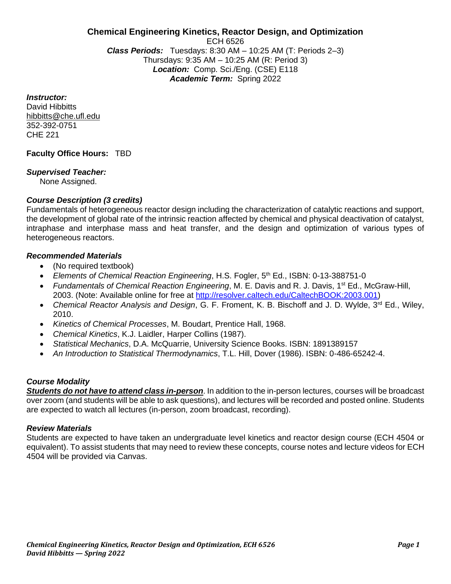#### **Chemical Engineering Kinetics, Reactor Design, and Optimization** ECH 6526 *Class Periods:* Tuesdays: 8:30 AM – 10:25 AM (T: Periods 2–3) Thursdays: 9:35 AM – 10:25 AM (R: Period 3) *Location:* Comp. Sci./Eng. (CSE) E118 *Academic Term:* Spring 2022

*Instructor:*

David Hibbitts hibbitts@che.ufl.edu 352-392-0751 CHE 221

**Faculty Office Hours:** TBD

### *Supervised Teacher:*

None Assigned.

# *Course Description (3 credits)*

Fundamentals of heterogeneous reactor design including the characterization of catalytic reactions and support, the development of global rate of the intrinsic reaction affected by chemical and physical deactivation of catalyst, intraphase and interphase mass and heat transfer, and the design and optimization of various types of heterogeneous reactors.

#### *Recommended Materials*

- (No required textbook)
- *Elements of Chemical Reaction Engineering*, H.S. Fogler, 5th Ed., ISBN: 0-13-388751-0
- *Fundamentals of Chemical Reaction Engineering*, M. E. Davis and R. J. Davis, 1st Ed., McGraw-Hill, 2003. (Note: Available online for free at [http://resolver.caltech.edu/CaltechBOOK:2003.001\)](http://resolver.caltech.edu/CaltechBOOK:2003.001)
- *Chemical Reactor Analysis and Design*, G. F. Froment, K. B. Bischoff and J. D. Wylde, 3rd Ed., Wiley, 2010.
- *Kinetics of Chemical Processes*, M. Boudart, Prentice Hall, 1968.
- *Chemical Kinetics*, K.J. Laidler, Harper Collins (1987).
- *Statistical Mechanics*, D.A. McQuarrie, University Science Books. ISBN: 1891389157
- *An Introduction to Statistical Thermodynamics*, T.L. Hill, Dover (1986). ISBN: 0-486-65242-4.

# *Course Modality*

*Students do not have to attend class in-person*. In addition to the in-person lectures, courses will be broadcast over zoom (and students will be able to ask questions), and lectures will be recorded and posted online. Students are expected to watch all lectures (in-person, zoom broadcast, recording).

#### *Review Materials*

Students are expected to have taken an undergraduate level kinetics and reactor design course (ECH 4504 or equivalent). To assist students that may need to review these concepts, course notes and lecture videos for ECH 4504 will be provided via Canvas.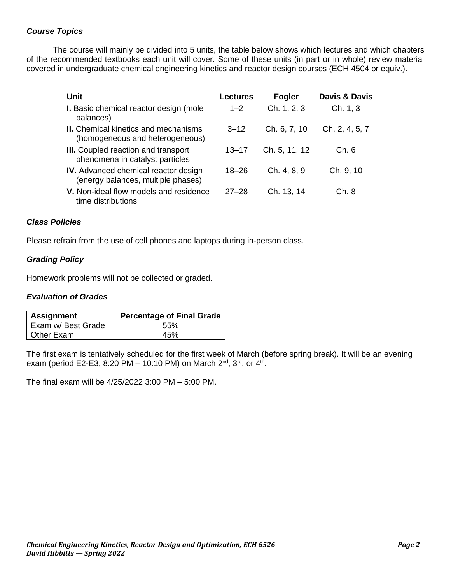# *Course Topics*

The course will mainly be divided into 5 units, the table below shows which lectures and which chapters of the recommended textbooks each unit will cover. Some of these units (in part or in whole) review material covered in undergraduate chemical engineering kinetics and reactor design courses (ECH 4504 or equiv.).

| <b>Unit</b>                                                                       | Lectures  | Fogler        | <b>Davis &amp; Davis</b> |
|-----------------------------------------------------------------------------------|-----------|---------------|--------------------------|
| I. Basic chemical reactor design (mole<br>balances)                               | $1 - 2$   | Ch. 1, 2, 3   | Ch. 1, 3                 |
| <b>II.</b> Chemical kinetics and mechanisms<br>(homogeneous and heterogeneous)    | $3 - 12$  | Ch. 6, 7, 10  | Ch. 2, 4, 5, 7           |
| III. Coupled reaction and transport<br>phenomena in catalyst particles            | $13 - 17$ | Ch. 5, 11, 12 | Ch. 6                    |
| <b>IV.</b> Advanced chemical reactor design<br>(energy balances, multiple phases) | $18 - 26$ | Ch. 4, 8, 9   | Ch. 9, 10                |
| V. Non-ideal flow models and residence<br>time distributions                      | $27 - 28$ | Ch. 13, 14    | Ch.8                     |

### *Class Policies*

Please refrain from the use of cell phones and laptops during in-person class.

# *Grading Policy*

Homework problems will not be collected or graded.

### *Evaluation of Grades*

| <b>Assignment</b>  | <b>Percentage of Final Grade</b> |
|--------------------|----------------------------------|
| Exam w/ Best Grade | 55%                              |
| Other Exam         | 45%                              |

The first exam is tentatively scheduled for the first week of March (before spring break). It will be an evening exam (period E2-E3, 8:20 PM – 10:10 PM) on March 2<sup>nd</sup>, 3<sup>rd</sup>, or 4<sup>th</sup>.

The final exam will be 4/25/2022 3:00 PM – 5:00 PM.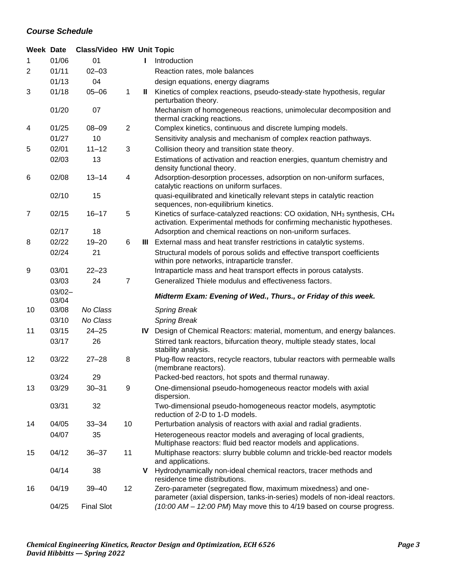# *Course Schedule*

| <b>Week Date</b> |                    | <b>Class/Video HW Unit Topic</b> |                |     |                                                                                                                                                                              |
|------------------|--------------------|----------------------------------|----------------|-----|------------------------------------------------------------------------------------------------------------------------------------------------------------------------------|
| 1                | 01/06              | 01                               |                |     | Introduction                                                                                                                                                                 |
| 2                | 01/11              | $02 - 03$                        |                |     | Reaction rates, mole balances                                                                                                                                                |
|                  | 01/13              | 04                               |                |     | design equations, energy diagrams                                                                                                                                            |
| 3                | 01/18              | $05 - 06$                        | 1              | Ш   | Kinetics of complex reactions, pseudo-steady-state hypothesis, regular<br>perturbation theory.                                                                               |
|                  | 01/20              | 07                               |                |     | Mechanism of homogeneous reactions, unimolecular decomposition and<br>thermal cracking reactions.                                                                            |
| 4                | 01/25              | $08 - 09$                        | $\overline{2}$ |     | Complex kinetics, continuous and discrete lumping models.                                                                                                                    |
|                  | 01/27              | 10                               |                |     | Sensitivity analysis and mechanism of complex reaction pathways.                                                                                                             |
| 5                | 02/01              | $11 - 12$                        | 3              |     | Collision theory and transition state theory.                                                                                                                                |
|                  | 02/03              | 13                               |                |     | Estimations of activation and reaction energies, quantum chemistry and<br>density functional theory.                                                                         |
| 6                | 02/08              | $13 - 14$                        | 4              |     | Adsorption-desorption processes, adsorption on non-uniform surfaces,<br>catalytic reactions on uniform surfaces.                                                             |
|                  | 02/10              | 15                               |                |     | quasi-equilibrated and kinetically relevant steps in catalytic reaction<br>sequences, non-equilibrium kinetics.                                                              |
| $\overline{7}$   | 02/15              | $16 - 17$                        | 5              |     | Kinetics of surface-catalyzed reactions: CO oxidation, NH <sub>3</sub> synthesis, CH <sub>4</sub><br>activation. Experimental methods for confirming mechanistic hypotheses. |
|                  | 02/17              | 18                               |                |     | Adsorption and chemical reactions on non-uniform surfaces.                                                                                                                   |
| 8                | 02/22              | $19 - 20$                        | 6              |     | III External mass and heat transfer restrictions in catalytic systems.                                                                                                       |
|                  | 02/24              | 21                               |                |     | Structural models of porous solids and effective transport coefficients<br>within pore networks, intraparticle transfer.                                                     |
| 9                | 03/01              | $22 - 23$                        |                |     | Intraparticle mass and heat transport effects in porous catalysts.                                                                                                           |
|                  | 03/03              | 24                               | $\overline{7}$ |     | Generalized Thiele modulus and effectiveness factors.                                                                                                                        |
|                  | $03/02 -$<br>03/04 |                                  |                |     | Midterm Exam: Evening of Wed., Thurs., or Friday of this week.                                                                                                               |
| 10               | 03/08              | No Class                         |                |     | <b>Spring Break</b>                                                                                                                                                          |
|                  | 03/10              | No Class                         |                |     | <b>Spring Break</b>                                                                                                                                                          |
| 11               | 03/15              | $24 - 25$                        |                | IV. | Design of Chemical Reactors: material, momentum, and energy balances.                                                                                                        |
|                  | 03/17              | 26                               |                |     | Stirred tank reactors, bifurcation theory, multiple steady states, local<br>stability analysis.                                                                              |
| 12               | 03/22              | $27 - 28$                        | 8              |     | Plug-flow reactors, recycle reactors, tubular reactors with permeable walls<br>(membrane reactors).                                                                          |
|                  | 03/24              | 29                               |                |     | Packed-bed reactors, hot spots and thermal runaway.                                                                                                                          |
| 13               | 03/29              | $30 - 31$                        | 9              |     | One-dimensional pseudo-homogeneous reactor models with axial<br>dispersion.                                                                                                  |
|                  | 03/31              | 32                               |                |     | Two-dimensional pseudo-homogeneous reactor models, asymptotic<br>reduction of 2-D to 1-D models.                                                                             |
| 14               | 04/05              | $33 - 34$                        | 10             |     | Perturbation analysis of reactors with axial and radial gradients.                                                                                                           |
|                  | 04/07              | 35                               |                |     | Heterogeneous reactor models and averaging of local gradients,<br>Multiphase reactors: fluid bed reactor models and applications.                                            |
| 15               | 04/12              | $36 - 37$                        | 11             |     | Multiphase reactors: slurry bubble column and trickle-bed reactor models<br>and applications.                                                                                |
|                  | 04/14              | 38                               |                | v   | Hydrodynamically non-ideal chemical reactors, tracer methods and<br>residence time distributions.                                                                            |
| 16               | 04/19              | $39 - 40$                        | 12             |     | Zero-parameter (segregated flow, maximum mixedness) and one-<br>parameter (axial dispersion, tanks-in-series) models of non-ideal reactors.                                  |
|                  | 04/25              | <b>Final Slot</b>                |                |     | (10:00 AM - 12:00 PM) May move this to 4/19 based on course progress.                                                                                                        |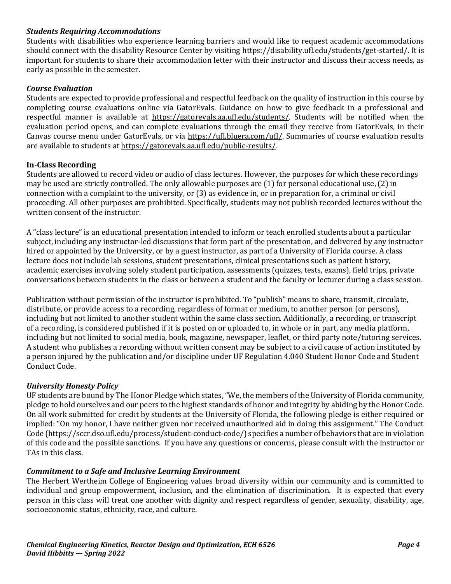### *Students Requiring Accommodations*

Students with disabilities who experience learning barriers and would like to request academic accommodations should connect with the disability Resource Center by visiting [https://disability.ufl.edu/students/get-started/.](https://disability.ufl.edu/students/get-started/) It is important for students to share their accommodation letter with their instructor and discuss their access needs, as early as possible in the semester.

#### *Course Evaluation*

Students are expected to provide professional and respectful feedback on the quality of instruction in this course by completing course evaluations online via GatorEvals. Guidance on how to give feedback in a professional and respectful manner is available at [https://gatorevals.aa.ufl.edu/students/.](https://gatorevals.aa.ufl.edu/students/) Students will be notified when the evaluation period opens, and can complete evaluations through the email they receive from GatorEvals, in their Canvas course menu under GatorEvals, or via [https://ufl.bluera.com/ufl/.](https://ufl.bluera.com/ufl/) Summaries of course evaluation results are available to students a[t https://gatorevals.aa.ufl.edu/public-results/.](https://gatorevals.aa.ufl.edu/public-results/)

### **In-Class Recording**

Students are allowed to record video or audio of class lectures. However, the purposes for which these recordings may be used are strictly controlled. The only allowable purposes are (1) for personal educational use, (2) in connection with a complaint to the university, or (3) as evidence in, or in preparation for, a criminal or civil proceeding. All other purposes are prohibited. Specifically, students may not publish recorded lectures without the written consent of the instructor.

A "class lecture" is an educational presentation intended to inform or teach enrolled students about a particular subject, including any instructor-led discussions that form part of the presentation, and delivered by any instructor hired or appointed by the University, or by a guest instructor, as part of a University of Florida course. A class lecture does not include lab sessions, student presentations, clinical presentations such as patient history, academic exercises involving solely student participation, assessments (quizzes, tests, exams), field trips, private conversations between students in the class or between a student and the faculty or lecturer during a class session.

Publication without permission of the instructor is prohibited. To "publish" means to share, transmit, circulate, distribute, or provide access to a recording, regardless of format or medium, to another person (or persons), including but not limited to another student within the same class section. Additionally, a recording, or transcript of a recording, is considered published if it is posted on or uploaded to, in whole or in part, any media platform, including but not limited to social media, book, magazine, newspaper, leaflet, or third party note/tutoring services. A student who publishes a recording without written consent may be subject to a civil cause of action instituted by a person injured by the publication and/or discipline under UF Regulation 4.040 Student Honor Code and Student Conduct Code.

# *University Honesty Policy*

UF students are bound by The Honor Pledge which states, "We, the members of the University of Florida community, pledge to hold ourselves and our peers to the highest standards of honor and integrity by abiding by the Honor Code. On all work submitted for credit by students at the University of Florida, the following pledge is either required or implied: "On my honor, I have neither given nor received unauthorized aid in doing this assignment." The Conduct Code [\(https://sccr.dso.ufl.edu/process/student-conduct-code/\)](https://sccr.dso.ufl.edu/process/student-conduct-code/) specifies a number of behaviors that are in violation of this code and the possible sanctions. If you have any questions or concerns, please consult with the instructor or TAs in this class.

#### *Commitment to a Safe and Inclusive Learning Environment*

The Herbert Wertheim College of Engineering values broad diversity within our community and is committed to individual and group empowerment, inclusion, and the elimination of discrimination. It is expected that every person in this class will treat one another with dignity and respect regardless of gender, sexuality, disability, age, socioeconomic status, ethnicity, race, and culture.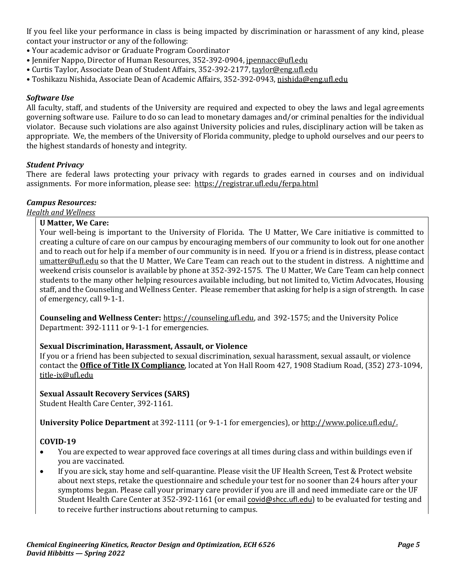If you feel like your performance in class is being impacted by discrimination or harassment of any kind, please contact your instructor or any of the following:

- Your academic advisor or Graduate Program Coordinator
- Jennifer Nappo, Director of Human Resources, 352-392-0904, [jpennacc@ufl.edu](mailto:jpennacc@ufl.edu)
- Curtis Taylor, Associate Dean of Student Affairs, 352-392-2177[, taylor@eng.ufl.edu](mailto:taylor@eng.ufl.edu)
- Toshikazu Nishida, Associate Dean of Academic Affairs, 352-392-0943[, nishida@eng.ufl.edu](mailto:nishida@eng.ufl.edu)

# *Software Use*

All faculty, staff, and students of the University are required and expected to obey the laws and legal agreements governing software use. Failure to do so can lead to monetary damages and/or criminal penalties for the individual violator. Because such violations are also against University policies and rules, disciplinary action will be taken as appropriate. We, the members of the University of Florida community, pledge to uphold ourselves and our peers to the highest standards of honesty and integrity.

### *Student Privacy*

There are federal laws protecting your privacy with regards to grades earned in courses and on individual assignments. For more information, please see: <https://registrar.ufl.edu/ferpa.html>

# *Campus Resources:*

*Health and Wellness* 

### **U Matter, We Care:**

Your well-being is important to the University of Florida. The U Matter, We Care initiative is committed to creating a culture of care on our campus by encouraging members of our community to look out for one another and to reach out for help if a member of our community is in need. If you or a friend is in distress, please contact [umatter@ufl.edu](mailto:umatter@ufl.edu) so that the U Matter, We Care Team can reach out to the student in distress. A nighttime and weekend crisis counselor is available by phone at 352-392-1575. The U Matter, We Care Team can help connect students to the many other helping resources available including, but not limited to, Victim Advocates, Housing staff, and the Counseling and Wellness Center. Please remember that asking for help is a sign of strength. In case of emergency, call 9-1-1.

**Counseling and Wellness Center:** [https://counseling.ufl.edu,](https://counseling.ufl.edu/) and 392-1575; and the University Police Department: 392-1111 or 9-1-1 for emergencies.

# **Sexual Discrimination, Harassment, Assault, or Violence**

If you or a friend has been subjected to sexual discrimination, sexual harassment, sexual assault, or violence contact the **[Office of Title IX Compliance](https://titleix.ufl.edu/)**, located at Yon Hall Room 427, 1908 Stadium Road, (352) 273-1094, [title-ix@ufl.edu](mailto:title-ix@ufl.edu)

# **Sexual Assault Recovery Services (SARS)**

Student Health Care Center, 392-1161.

**University Police Department** at 392-1111 (or 9-1-1 for emergencies), or [http://www.police.ufl.edu/.](http://www.police.ufl.edu/)

# **COVID-19**

- You are expected to wear approved face coverings at all times during class and within buildings even if you are vaccinated.
- If you are sick, stay home and self-quarantine. Please visit the UF Health Screen, Test & Protect website about next steps, retake the questionnaire and schedule your test for no sooner than 24 hours after your symptoms began. Please call your primary care provider if you are ill and need immediate care or the UF Student Health Care Center at 352-392-1161 (or email [covid@shcc.ufl.edu](mailto:covid@shcc.ufl.edu)) to be evaluated for testing and to receive further instructions about returning to campus.